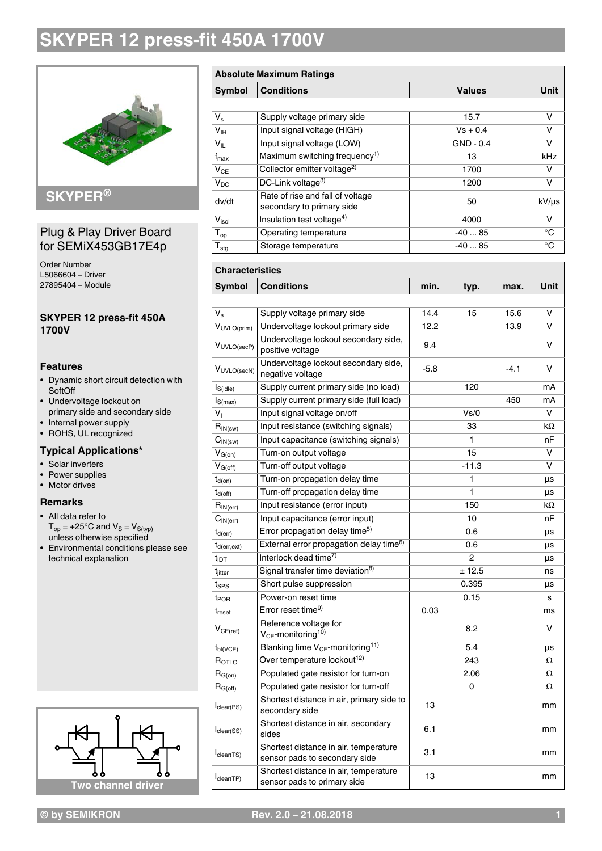

## **SKYPER®**

#### Plug & Play Driver Board for SEMiX453GB17E4p

Order Number L5066604 – Driver 27895404 – Module

#### **SKYPER 12 press-fit 450A 1700V**

#### **Features**

- Dynamic short circuit detection with **SoftOff**
- Undervoltage lockout on primary side and secondary side
- Internal power supply • ROHS, UL recognized

## **Typical Applications\***

- Solar inverters
- Power supplies
- Motor drives

#### **Remarks**

- All data refer to  $T_{op}$  = +25°C and  $V_S = V_{S(typ)}$ unless otherwise specified
- Environmental conditions please see technical explanation



## **Absolute Maximum Ratings Symbol Conditions Values Unit** V<sub>s</sub> Supply voltage primary side 15.7 V

| - 5              |                                                               |             |       |
|------------------|---------------------------------------------------------------|-------------|-------|
| V <sub>IH</sub>  | Input signal voltage (HIGH)                                   | $Vs + 0.4$  | v     |
| $V_{IL}$         | Input signal voltage (LOW)                                    | $GND - 0.4$ | v     |
| $t_{\rm max}$    | Maximum switching frequency <sup>1)</sup>                     | 13          | kHz   |
| $V_{CE}$         | Collector emitter voltage <sup>2)</sup>                       | 1700        | v     |
| $V_{DC}$         | DC-Link voltage $3$                                           | 1200        | v     |
| dv/dt            | Rate of rise and fall of voltage<br>secondary to primary side | 50          | kV/µs |
| $V_{\sf isol}$   | Insulation test voltage <sup>4)</sup>                         | 4000        | v     |
| $T_{op}$         | Operating temperature                                         | $-4085$     | °C    |
| $T_{\text{stg}}$ | Storage temperature                                           | $-4085$     | °C    |

#### **Characteristics**

| <b>Symbol</b>                           | <b>Conditions</b>                                                      |                    | typ. | max.   | Unit |
|-----------------------------------------|------------------------------------------------------------------------|--------------------|------|--------|------|
|                                         |                                                                        |                    |      |        |      |
| $V_{\rm s}$                             | Supply voltage primary side                                            | 14.4<br>15<br>15.6 |      |        | v    |
| $V_{UVLO(prim)}$                        | Undervoltage lockout primary side                                      | 12.2<br>13.9       |      |        | v    |
| VUVLO(secP)                             | Undervoltage lockout secondary side,<br>positive voltage               | 9.4                |      |        | v    |
| VUVLO(secN)                             | Undervoltage lockout secondary side,<br>negative voltage               | $-5.8$             |      | $-4.1$ | v    |
| $I_{S(idle)}$                           | Supply current primary side (no load)                                  | 120                |      |        | mA   |
| $I_{S(max)}$                            | Supply current primary side (full load)                                | 450                |      |        | mA   |
| $V_1$                                   | Input signal voltage on/off                                            | Vs/0               |      |        | v    |
| $R_{IN(sw)}$                            | Input resistance (switching signals)                                   | 33                 |      |        | kΩ   |
| $\mathsf{C}_{\mathsf{IN}(\mathsf{sw})}$ | Input capacitance (switching signals)                                  | 1                  |      |        | nF   |
| $V_{G(on)}$                             | Turn-on output voltage                                                 | 15                 |      |        | v    |
| $V_{G(off)}$                            | Turn-off output voltage                                                | $-11.3$            |      |        | v    |
| $t_{d(on)}$                             | Turn-on propagation delay time                                         |                    | 1    |        | μs   |
| $t_{d(off)}$                            | Turn-off propagation delay time                                        |                    | 1    |        | μs   |
| $R_{\mathsf{IN}(\mathsf{err})}$         | Input resistance (error input)<br>150                                  |                    |      | kΩ     |      |
| $C_{\mathsf{IN}(\textsf{err})}$         | Input capacitance (error input)<br>10                                  |                    |      | nF     |      |
| $t_{d(err)}$                            | Error propagation delay time <sup>5)</sup>                             | 0.6                |      |        | μs   |
| $t_{d(err,ext)}$                        | External error propagation delay time <sup>6)</sup>                    | 0.6                |      |        | μs   |
| $t_{\text{IDT}}$                        | Interlock dead time <sup>7)</sup>                                      | $\overline{2}$     |      |        | μs   |
| t <sub>iitter</sub>                     | Signal transfer time deviation <sup>8)</sup>                           | ± 12.5             |      |        | ns   |
| t <sub>SPS</sub>                        | Short pulse suppression<br>0.395                                       |                    |      | μs     |      |
| t <sub>POR</sub>                        | Power-on reset time                                                    | 0.15               |      |        | s    |
| t <sub>reset</sub>                      | Error reset time <sup>9)</sup>                                         | 0.03               |      |        | ms   |
| $V_{CE (ref)}$                          | Reference voltage for<br>8.2<br>$V_{CE}$ -monitoring <sup>10)</sup>    |                    |      | v      |      |
| $t_{\text{bl}(VCE)}$                    | Blanking time $V_{CE}$ -monitoring <sup>11)</sup>                      | 5.4                |      |        | μs   |
| ROTLO                                   | Over temperature lockout <sup>12)</sup>                                | 243                |      |        | Ω    |
| $R_{G(on)}$                             | Populated gate resistor for turn-on                                    | 2.06               |      |        | Ω    |
| $R_{G(off)}$                            | Populated gate resistor for turn-off                                   | 0                  |      | Ω      |      |
| I <sub>clear</sub> (PS)                 | Shortest distance in air, primary side to<br>secondary side            | 13                 |      |        | mm   |
| I <sub>clear</sub> (SS)                 | Shortest distance in air, secondary<br>sides                           | 6.1                |      |        | mm   |
| $I_{clear(TS)}$                         | Shortest distance in air, temperature<br>sensor pads to secondary side | 3.1                |      |        | mm   |
| I <sub>clear</sub> (TP)                 | Shortest distance in air, temperature<br>sensor pads to primary side   | 13                 |      |        | mm   |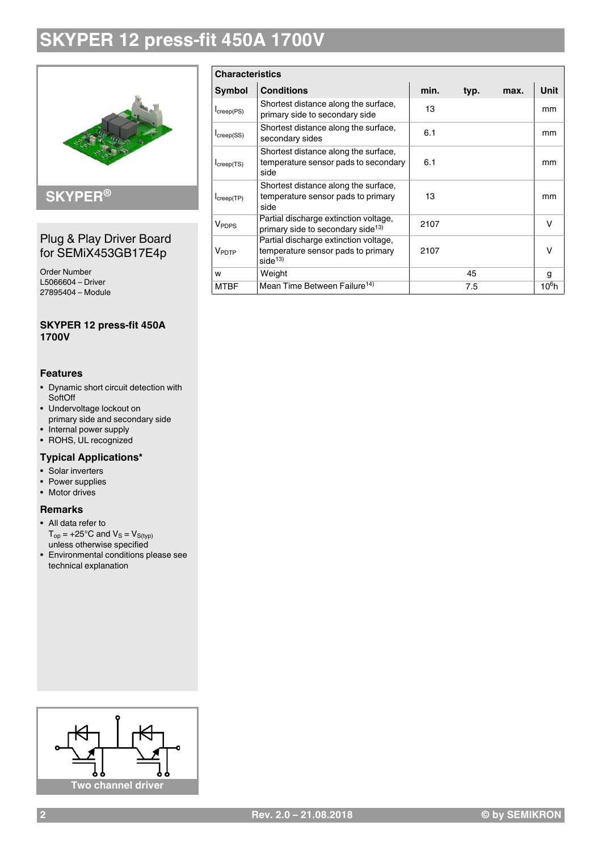

### **SKYPER®**

#### Plug & Play Driver Board for SEMiX453GB17E4p

Order Number L5066604 – Driver 27895404 – Module

#### **SKYPER 12 press-fit 450A 1700V**

#### **Features**

- Dynamic short circuit detection with **SoftOff**
- Undervoltage lockout on primary side and secondary side
- Internal power supply
- ROHS, UL recognized

#### **Typical Applications\***

- Solar inverters
- Power supplies
- Motor drives

#### **Remarks**

- All data refer to  $T_{op}$  = +25°C and  $V_S = V_{S(typ)}$ unless otherwise specified
- Environmental conditions please see technical explanation

| <b>Characteristics</b>   |                                                                                          |      |  |   |          |
|--------------------------|------------------------------------------------------------------------------------------|------|--|---|----------|
| Symbol                   | <b>Conditions</b><br>min.<br>typ.<br>max.                                                |      |  |   | Unit     |
| $I_{\text{creep}(PS)}$   | Shortest distance along the surface,<br>primary side to secondary side                   | 13   |  |   | mm       |
| $I_{creep(SS)}$          | Shortest distance along the surface,<br>secondary sides                                  | 6.1  |  |   | mm       |
| $I_{\text{creep(TS)}}$   | Shortest distance along the surface,<br>temperature sensor pads to secondary<br>side     | 6.1  |  |   | mm       |
| $I_{\text{creep(TP)}}$   | Shortest distance along the surface,<br>temperature sensor pads to primary<br>side       | 13   |  |   | mm       |
| <b>V</b> <sub>PDPS</sub> | Partial discharge extinction voltage,<br>primary side to secondary side <sup>13)</sup>   | 2107 |  |   | v        |
| VPDTP                    | Partial discharge extinction voltage,<br>temperature sensor pads to primary<br>side $13$ | 2107 |  |   | $\vee$   |
| W                        | Weight                                                                                   | 45   |  | g |          |
| <b>MTBF</b>              | Mean Time Between Failure <sup>14)</sup>                                                 | 7.5  |  |   | $10^6$ h |

# **Two channel driver**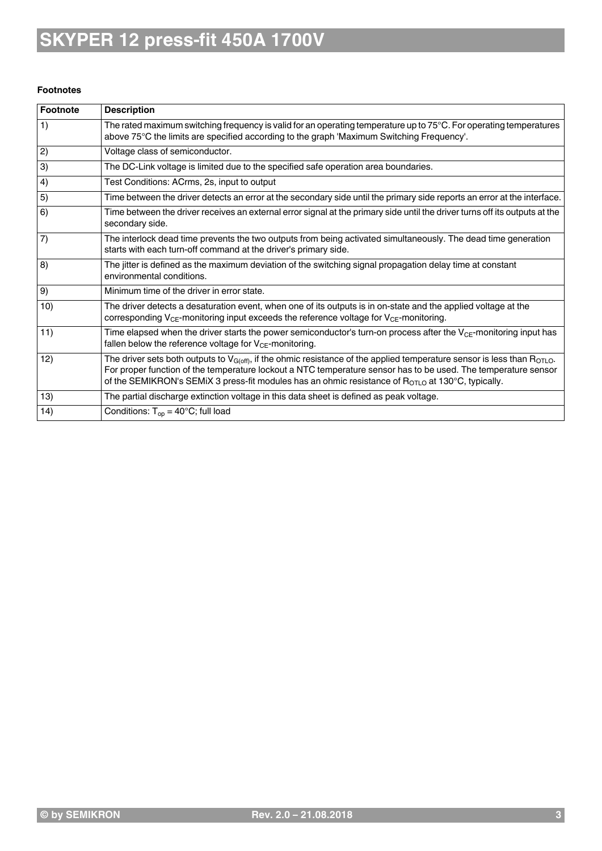#### **Footnotes**

| Footnote | <b>Description</b>                                                                                                                                                                                                                                                                                                                                                           |
|----------|------------------------------------------------------------------------------------------------------------------------------------------------------------------------------------------------------------------------------------------------------------------------------------------------------------------------------------------------------------------------------|
| 1)       | The rated maximum switching frequency is valid for an operating temperature up to $75^{\circ}$ C. For operating temperatures<br>above 75°C the limits are specified according to the graph 'Maximum Switching Frequency'.                                                                                                                                                    |
| 2)       | Voltage class of semiconductor.                                                                                                                                                                                                                                                                                                                                              |
| 3)       | The DC-Link voltage is limited due to the specified safe operation area boundaries.                                                                                                                                                                                                                                                                                          |
| 4)       | Test Conditions: ACrms, 2s, input to output                                                                                                                                                                                                                                                                                                                                  |
| 5)       | Time between the driver detects an error at the secondary side until the primary side reports an error at the interface.                                                                                                                                                                                                                                                     |
| 6)       | Time between the driver receives an external error signal at the primary side until the driver turns off its outputs at the<br>secondary side.                                                                                                                                                                                                                               |
| 7)       | The interlock dead time prevents the two outputs from being activated simultaneously. The dead time generation<br>starts with each turn-off command at the driver's primary side.                                                                                                                                                                                            |
| (8)      | The jitter is defined as the maximum deviation of the switching signal propagation delay time at constant<br>environmental conditions.                                                                                                                                                                                                                                       |
| 9)       | Minimum time of the driver in error state.                                                                                                                                                                                                                                                                                                                                   |
| 10)      | The driver detects a desaturation event, when one of its outputs is in on-state and the applied voltage at the<br>corresponding $V_{CE}$ -monitoring input exceeds the reference voltage for $V_{CE}$ -monitoring.                                                                                                                                                           |
| 11)      | Time elapsed when the driver starts the power semiconductor's turn-on process after the V <sub>CE</sub> -monitoring input has<br>fallen below the reference voltage for $V_{CE}$ -monitoring.                                                                                                                                                                                |
| 12)      | The driver sets both outputs to $V_{G(off)}$ , if the ohmic resistance of the applied temperature sensor is less than R <sub>OTLO</sub> .<br>For proper function of the temperature lockout a NTC temperature sensor has to be used. The temperature sensor<br>of the SEMIKRON's SEMIX 3 press-fit modules has an ohmic resistance of $R_{\text{OTLO}}$ at 130°C, typically. |
| 13)      | The partial discharge extinction voltage in this data sheet is defined as peak voltage.                                                                                                                                                                                                                                                                                      |
| 14)      | Conditions: $T_{op} = 40^{\circ}$ C; full load                                                                                                                                                                                                                                                                                                                               |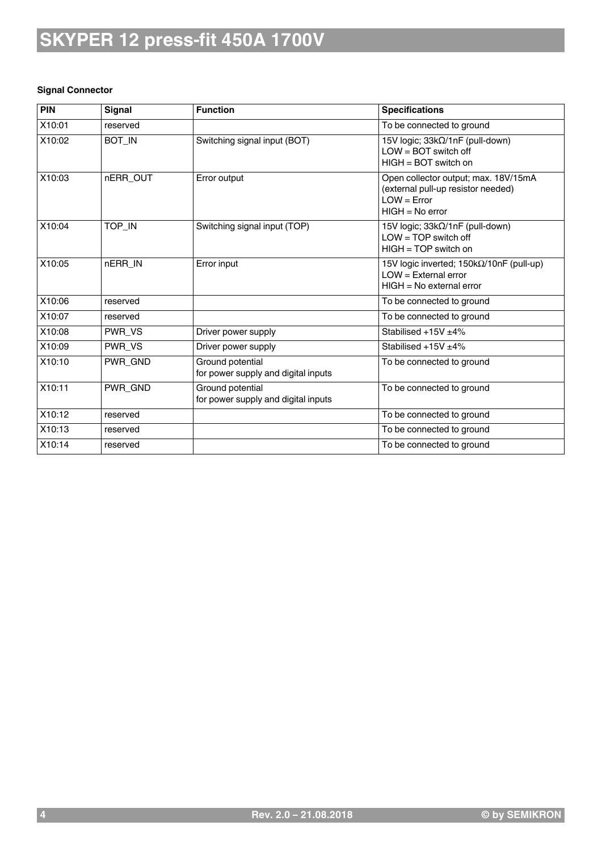#### **Signal Connector**

| PIN    | <b>Signal</b> | <b>Function</b>                                         | <b>Specifications</b>                                                                                            |
|--------|---------------|---------------------------------------------------------|------------------------------------------------------------------------------------------------------------------|
| X10:01 | reserved      |                                                         | To be connected to ground                                                                                        |
| X10:02 | BOT_IN        | Switching signal input (BOT)                            | 15V logic; 33kΩ/1nF (pull-down)<br>$LOW = BOT$ switch off<br>HIGH = BOT switch on                                |
| X10:03 | nERR_OUT      | Error output                                            | Open collector output; max. 18V/15mA<br>(external pull-up resistor needed)<br>$LOW = Error$<br>$HIGH = No error$ |
| X10:04 | TOP_IN        | Switching signal input (TOP)                            | 15V logic; 33kΩ/1nF (pull-down)<br>$LOW = TOP$ switch off<br>$HIGH = TOP$ switch on                              |
| X10:05 | nERR_IN       | Error input                                             | 15V logic inverted; 150kΩ/10nF (pull-up)<br>$LOW = External error$<br>$HIGH = No external error$                 |
| X10:06 | reserved      |                                                         | To be connected to ground                                                                                        |
| X10:07 | reserved      |                                                         | To be connected to ground                                                                                        |
| X10:08 | PWR_VS        | Driver power supply                                     | Stabilised +15V +4%                                                                                              |
| X10:09 | PWR_VS        | Driver power supply                                     | Stabilised $+15V \pm 4\%$                                                                                        |
| X10:10 | PWR_GND       | Ground potential<br>for power supply and digital inputs | To be connected to ground                                                                                        |
| X10:11 | PWR_GND       | Ground potential<br>for power supply and digital inputs | To be connected to ground                                                                                        |
| X10:12 | reserved      |                                                         | To be connected to ground                                                                                        |
| X10:13 | reserved      |                                                         | To be connected to ground                                                                                        |
| X10:14 | reserved      |                                                         | To be connected to ground                                                                                        |